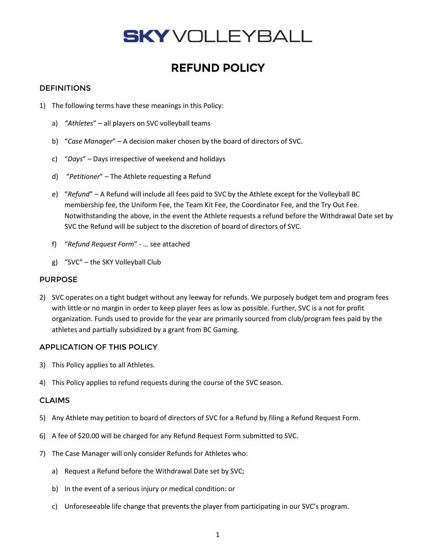## **SKY** VOLLEYBALL

### REFUND POLICY

#### **DEFINITIONS**

- 1) The following terms have these meanings in this Policy:
	- a) *"Athletes*" all players on SVC volleyball teams
	- b) "*Case Manager*" A decision maker chosen by the board of directors of SVC.
	- c) "*Days*" Days irrespective of weekend and holidays
	- d) "*Petitioner*" The Athlete requesting a Refund
	- e) "*Refund*" A Refund will include all fees paid to SVC by the Athlete except for the Volleyball BC membership fee, the Uniform Fee, the Team Kit Fee, the Coordinator Fee, and the Try Out Fee. Notwithstanding the above, in the event the Athlete requests a refund before the Withdrawal Date set by SVC the Refund will be subject to the discretion of board of directors of SVC.
	- f) "*Refund Request Form*" … see attached
	- g) "SVC" the SKY Volleyball Club

#### PURPOSE

2) SVC operates on a tight budget without any leeway for refunds. We purposely budget tem and program fees with little or no margin in order to keep player fees as low as possible. Further, SVC is a not for profit organization. Funds used to provide for the year are primarily sourced from club/program fees paid by the athletes and partially subsidized by a grant from BC Gaming.

#### APPLICATION OF THIS POLICY

- 3) This Policy applies to all Athletes.
- 4) This Policy applies to refund requests during the course of the SVC season.

#### CLAIMS

- 5) Any Athlete may petition to board of directors of SVC for a Refund by filing a Refund Request Form.
- 6) A fee of \$20.00 will be charged for any Refund Request Form submitted to SVC.
- 7) The Case Manager will only consider Refunds for Athletes who:
	- a) Request a Refund before the Withdrawal Date set by SVC;
	- b) In the event of a serious injury or medical condition: or
	- c) Unforeseeable life change that prevents the player from participating in our SVC's program.